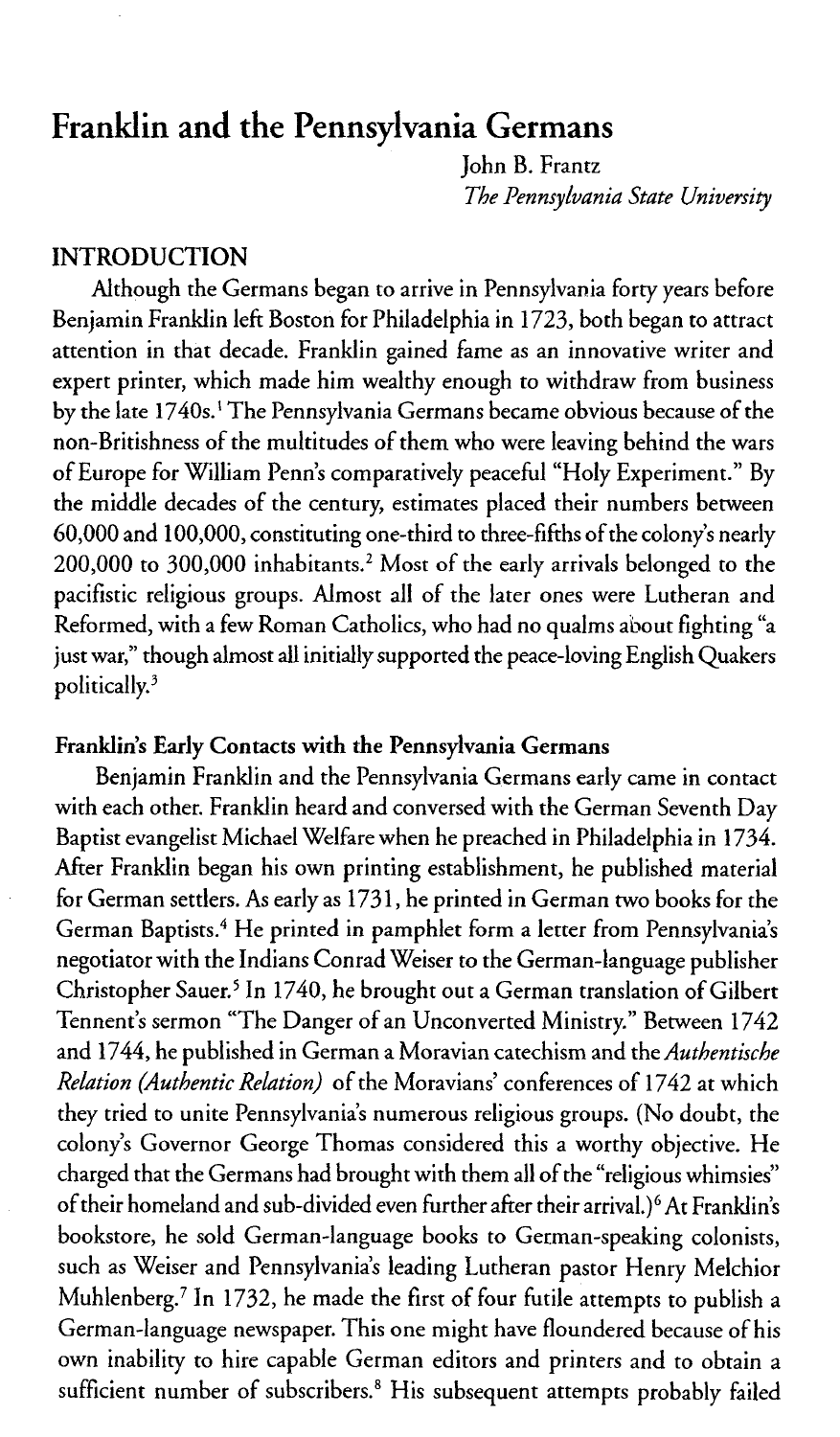# Franklin and the Pennsylvania Germans

John B. Frantz *The Pennsylvania State University*

#### INTRODUCTION

Although the Germans began to arrive in Pennsylvania forty years before Benjamin Franklin left Boston for Philadelphia in 1723, both began to attract attention in that decade. Franklin gained fame as an innovative writer and expert printer, which made him wealthy enough to withdraw from business by the late 1740s.' The Pennsylvania Germans became obvious because of the non-Britishness of the multitudes of them who were leaving behind the wars of Europe for William Penn's comparatively peaceful "Holy Experiment." By the middle decades of the century, estimates placed their numbers between 60,000 and 100,000, constituting one-third to three-fifths of the colony's nearly 200,000 to 300,000 inhabitants.2 Most of the early arrivals belonged to the pacifistic religious groups. Almost all of the later ones were Lutheran and Reformed, with a few Roman Catholics, who had no qualms about fighting "a just war," though almost all initially supported the peace-loving English Quakers politically.'

## **Franklin's Early Contacts** with **the Pennsylvania Germans**

Benjamin Franklin and the Pennsylvania Germans early came in contact with each other. Franklin heard and conversed with the German Seventh Day Baptist evangelist Michael Welfare when he preached in Philadelphia in 1734. After Franklin began his own printing establishment, he published material for German settlers. As early as 1731, he printed in German two books for the German Baptists.4 He printed in pamphlet form a letter from Pennsylvania's negotiator with the Indians Conrad Weiser to the German-language publisher Christopher Sauer.<sup>5</sup> In 1740, he brought out a German translation of Gilbert Tennent's sermon "The Danger of an Unconverted Ministry." Between 1742 and 1744, he published in German a Moravian catechism and the *Authentische Relation (Authentic Relation)* of the Moravians' conferences of 1742 at which they tried to unite Pennsylvania's numerous religious groups. (No doubt, the colony's Governor George Thomas considered this a worthy objective. He charged that the Germans had brought with them all of the "religious whimsies" of their homeland and sub-divided even further after their arrival.)<sup>6</sup> At Franklin's bookstore, he sold German-language books to German-speaking colonists, such as Weiser and Pennsylvania's leading Lutheran pastor Henry Melchior Muhlenberg.' In 1732, he made the first of four futile attempts to publish a German-language newspaper. This one might have floundered because of his own inability to hire capable German editors and printers and to obtain a sufficient number of subscribers.<sup>8</sup> His subsequent attempts probably failed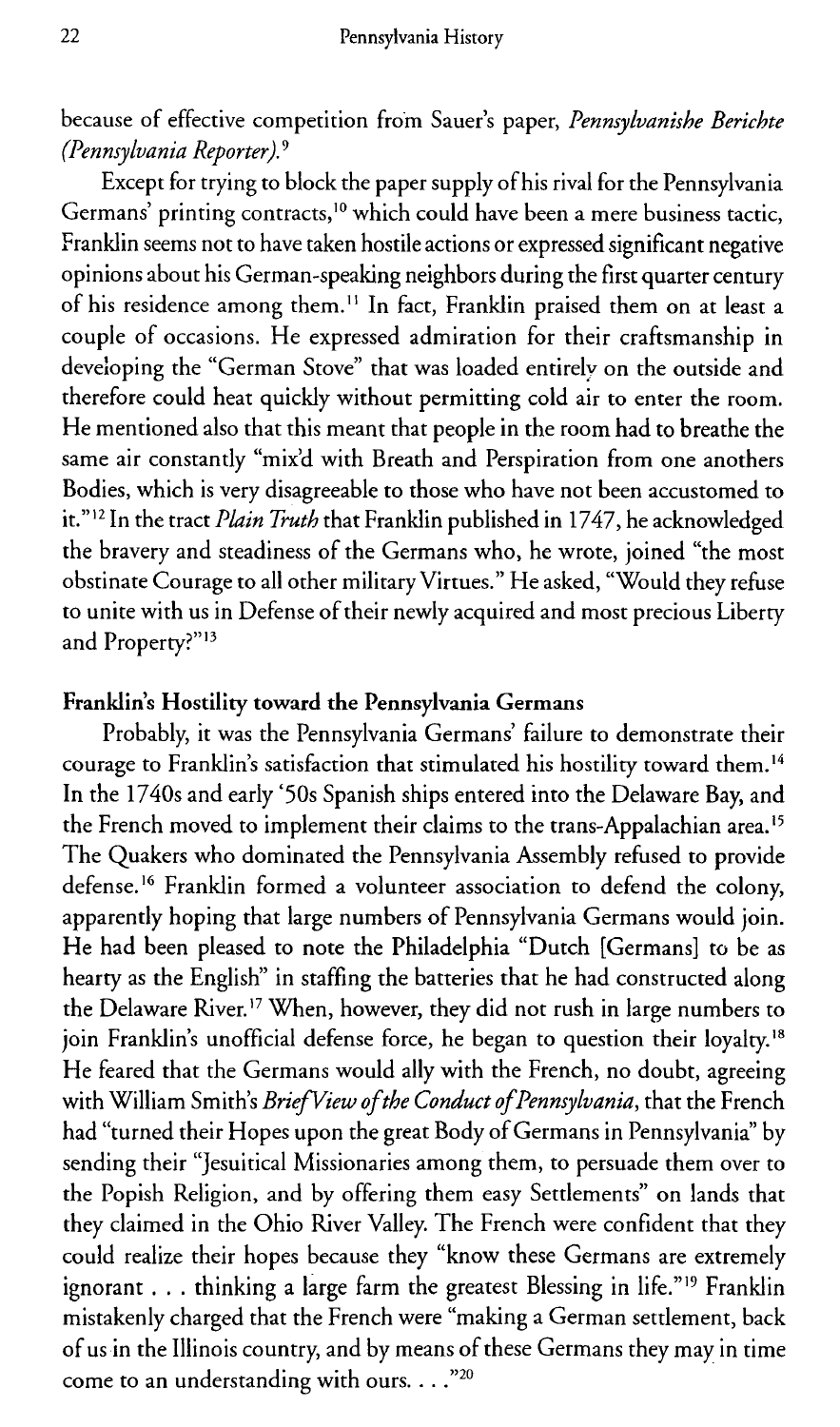because of effective competition from Sauer's paper, *Pennsylvanishe Berichte (Pennsylvania Reporter).9*

Except for trying to block the paper supply of his rival for the Pennsylvania Germans' printing contracts,<sup>10</sup> which could have been a mere business tactic, Franklin seems not to have taken hostile actions or expressed significant negative opinions about his German-speaking neighbors during the first quarter century of his residence among them." In fact, Franklin praised them on at least a couple of occasions. He expressed admiration for their craftsmanship in developing the "German Stove" that was loaded entirely on the outside and therefore could heat quickly without permitting cold air to enter the room. He mentioned also that this meant that people in the room had to breathe the same air constantly "mix'd with Breath and Perspiration from one anothers Bodies, which is very disagreeable to those who have not been accustomed to it."<sup>12</sup> In the tract *Plain Truth* that Franklin published in 1747, he acknowledged the bravery and steadiness of the Germans who, he wrote, joined "the most obstinate Courage to all other military Virtues." He asked, "Would they refuse to unite with us in Defense of their newly acquired and most precious Liberty and Property?"<sup>13</sup>

### **Franklin's Hostility toward the Pennsylvania Germans**

Probably, it was the Pennsylvania Germans' failure to demonstrate their courage to Franklin's satisfaction that stimulated his hostility toward them.14 In the 1740s and early '50s Spanish ships entered into the Delaware Bay, and the French moved to implement their claims to the trans-Appalachian area.<sup>15</sup> The Quakers who dominated the Pennsylvania Assembly refused to provide defense.<sup>16</sup> Franklin formed a volunteer association to defend the colony, apparently hoping that large numbers of Pennsylvania Germans would join. He had been pleased to note the Philadelphia "Dutch [Germans] to be as hearty as the English" in staffing the batteries that he had constructed along the Delaware River. 17 When, however, they did not rush in large numbers to join Franklin's unofficial defense force, he began to question their loyalty.<sup>18</sup> He feared that the Germans would ally with the French, no doubt, agreeing with William Smith's *Brief View ofthe Conduct ofPennsylvania,* that the French had "turned their Hopes upon the great Body of Germans in Pennsylvania" by sending their "Jesuitical Missionaries among them, to persuade them over to the Popish Religion, and by offering them easy Settlements" on lands that they claimed in the Ohio River Valley. The French were confident that they could realize their hopes because they "know these Germans are extremely ignorant . . . thinking a large farm the greatest Blessing in life."19 Franklin mistakenly charged that the French were "making a German settlement, back of us in the Illinois country, and by means of these Germans they may in time come to an understanding with ours...."<sup>20</sup>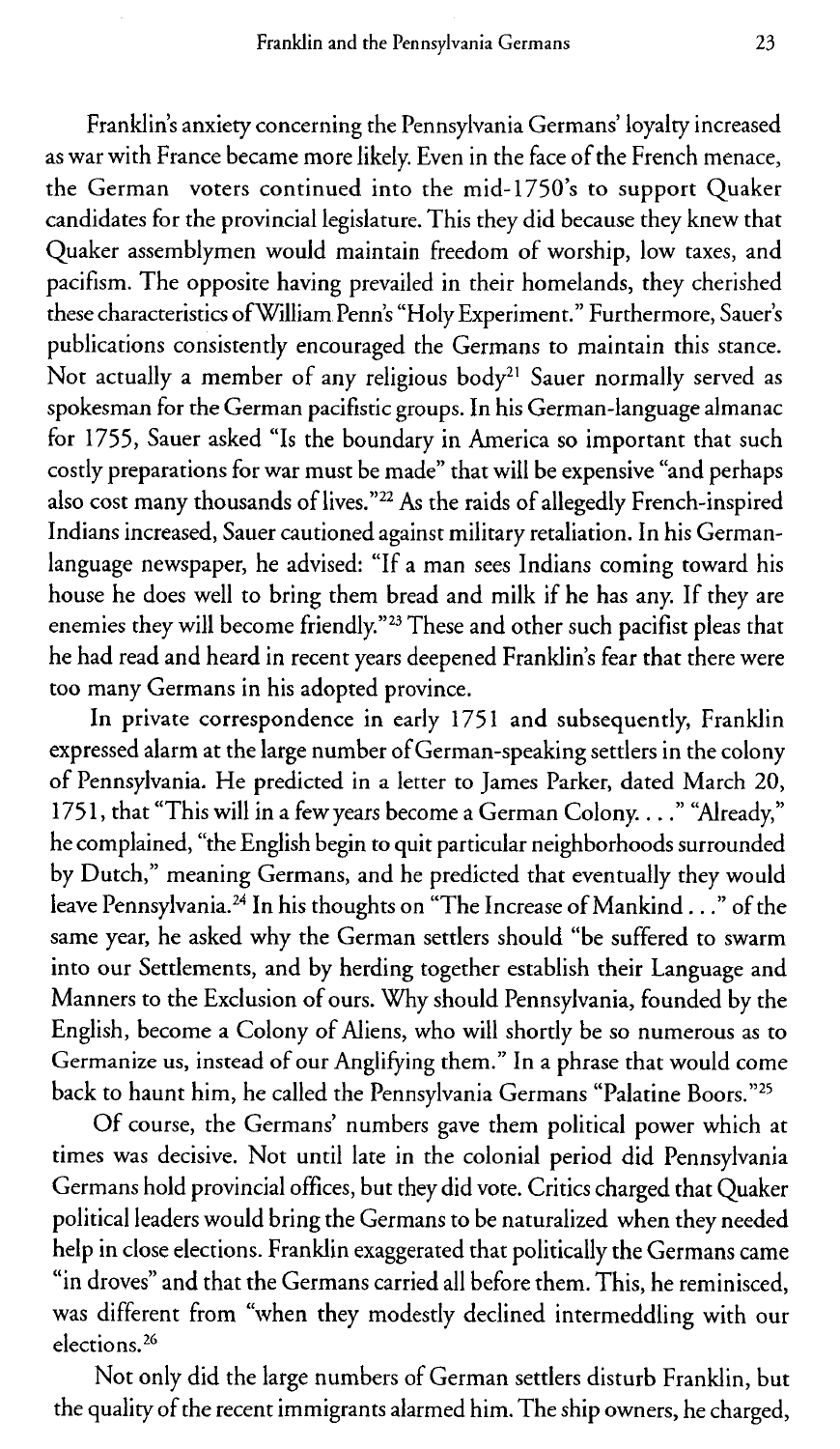Franklin's anxiety concerning the Pennsylvania Germans' loyalty increased as war with France became more likely. Even in the face of the French menace, the German voters continued into the mid-1750's to support Quaker candidates for the provincial legislature. This they did because they knew that Quaker assemblymen would maintain freedom of worship, low taxes, and pacifism. The opposite having prevailed in their homelands, they cherished these characteristics of'William Penn's "Holy Experiment." Furthermore, Sauer's publications consistently encouraged the Germans to maintain this stance. Not actually a member of any religious body<sup>21</sup> Sauer normally served as spokesman for the German pacifistic groups. In his German-language almanac for 1755, Sauer asked "Is the boundary in America so important that such costly preparations for war must be made" that will be expensive "and perhaps also cost many thousands of lives." 22 As the raids of allegedly French-inspired Indians increased, Sauer cautioned against military retaliation. In his Germanlanguage newspaper, he advised: "If a man sees Indians coming toward his house he does well to bring them bread and milk if he has any. If they are enemies they will become friendly."<sup>23</sup> These and other such pacifist pleas that he had read and heard in recent years deepened Franklin's fear that there were too many Germans in his adopted province.

In private correspondence in early 1751 and subsequently, Franklin expressed alarm at the large number of German-speaking settlers in the colony of Pennsylvania. He predicted in a letter to James Parker, dated March 20, 1751, that "This will in a few years become a German Colony....." "Already," he complained, "the English begin to quit particular neighborhoods surrounded by Dutch," meaning Germans, and he predicted that eventually they would leave Pennsylvania.24 In his thoughts on "The Increase of Mankind. . ." of the same year, he asked why the German settlers should "be suffered to swarm into our Settlements, and by herding together establish their Language and Manners to the Exclusion of ours. Why should Pennsylvania, founded by the English, become a Colony of Aliens, who will shortly be so numerous as to Germanize us, instead of our Anglifying them." In a phrase that would come back to haunt him, he called the Pennsylvania Germans "Palatine Boors."<sup>25</sup>

Of course, the Germans' numbers gave them political power which at times was decisive. Not until late in the colonial period did Pennsylvania Germans hold provincial offices, but they did vote. Critics charged that Quaker political leaders would bring the Germans to be naturalized when they needed help in close elections. Franklin exaggerated that politically the Germans came "in droves" and that the Germans carried all before them. This, he reminisced, was different from "when they modestly declined intermeddling with our elections. 26

Not only did the large numbers of German settlers disturb Franklin, but the quality of the recent immigrants alarmed him. The ship owners, he charged,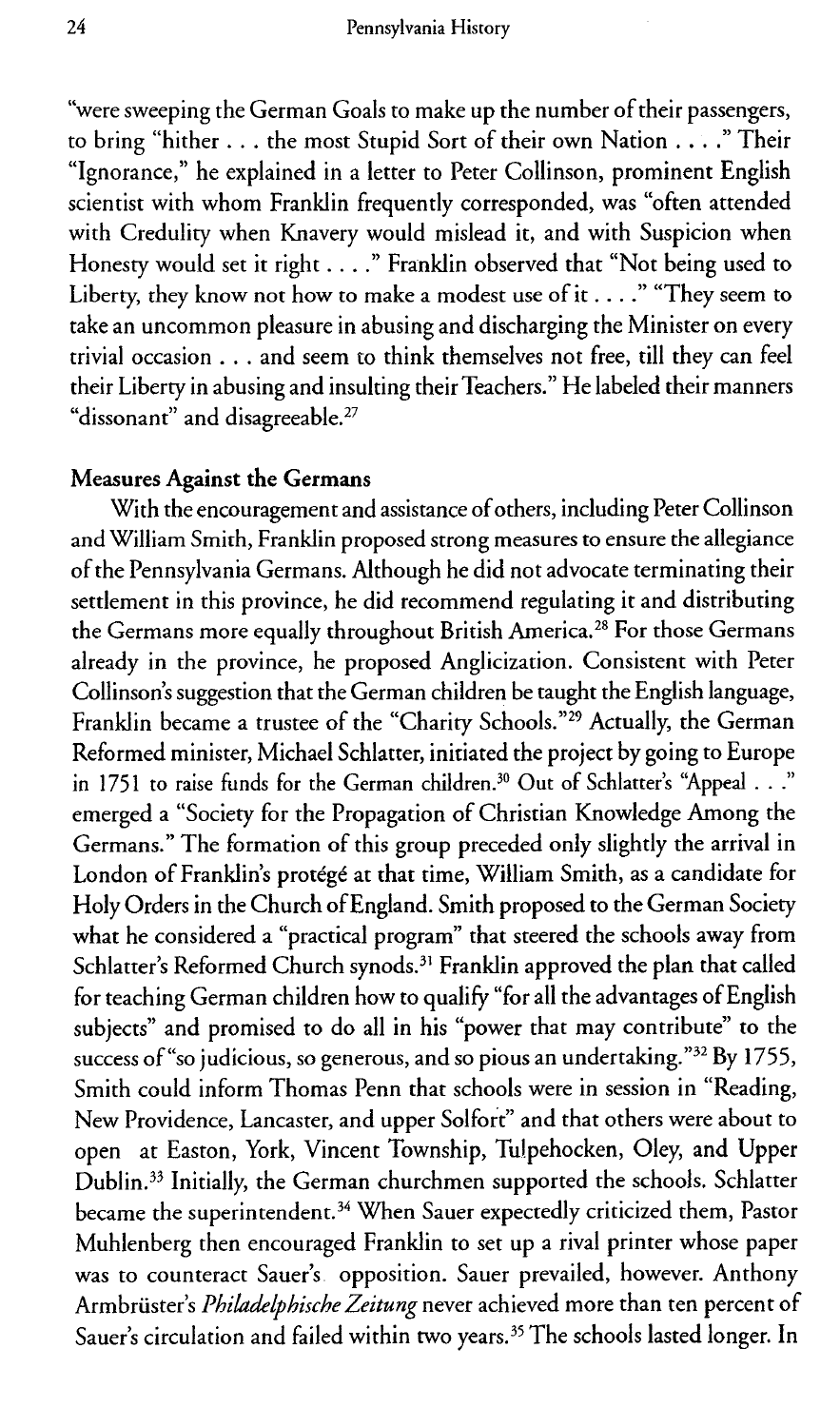"were sweeping the German Goals to make up the number of their passengers, to bring "hither ... the most Stupid Sort of their own Nation . . . ." Their "Ignorance," he explained in a letter to Peter Collinson, prominent English scientist with whom Franklin frequently corresponded, was "often attended with Credulity when Knavery would mislead it, and with Suspicion when Honesty would set it right .... " Franklin observed that "Not being used to Liberty, they know not how to make a modest use of it . . . . " "They seem to take an uncommon pleasure in abusing and discharging the Minister on every trivial occasion . . . and seem to think themselves not free, till they can feel their Liberty in abusing and insulting their Teachers." He labeled their manners "dissonant" and disagreeable.<sup>27</sup>

### **Measures Against the Germans**

With the encouragement and assistance of others, including Peter Collinson and William Smith, Franklin proposed strong measures to ensure the allegiance of the Pennsylvania Germans. Although he did not advocate terminating their settlement in this province, he did recommend regulating it and distributing the Germans more equally throughout British America.28 For those Germans already in the province, he proposed Anglicization. Consistent with Peter Collinson's suggestion that the German children be taught the English language, Franklin became a trustee of the "Charity Schools."<sup>29</sup> Actually, the German Reformed minister, Michael Schlatter, initiated the project by going to Europe in 1751 to raise funds for the German children.<sup>30</sup> Out of Schlatter's "Appeal . . ." emerged a "Society for the Propagation of Christian Knowledge Among the Germans." The formation of this group preceded only slightly the arrival in London of Franklin's protege at that time, William Smith, as a candidate for Holy Orders in the Church of England. Smith proposed to the German Society what he considered a "practical program" that steered the schools away from Schlatter's Reformed Church synods.<sup>31</sup> Franklin approved the plan that called for teaching German children how to qualify "for all the advantages of English subjects" and promised to do all in his "power that may contribute" to the success of "so judicious, so generous, and so pious an undertaking."<sup>32</sup> By 1755, Smith could inform Thomas Penn that schools were in session in "Reading, New Providence, Lancaster, and upper Solfort" and that others were about to open at Easton, York, Vincent Township, Tulpehocken, Oley, and Upper Dublin.33 Initially, the German churchmen supported the schools. Schlatter became the superintendent.34 When Sauer expectedly criticized them, Pastor Muhlenberg then encouraged Franklin to set up a rival printer whose paper was to counteract Sauer's opposition. Sauer prevailed, however. Anthony Armbruster's *Philadelphische Zeitung* never achieved more than ten percent of Sauer's circulation and failed within two years.<sup>35</sup> The schools lasted longer. In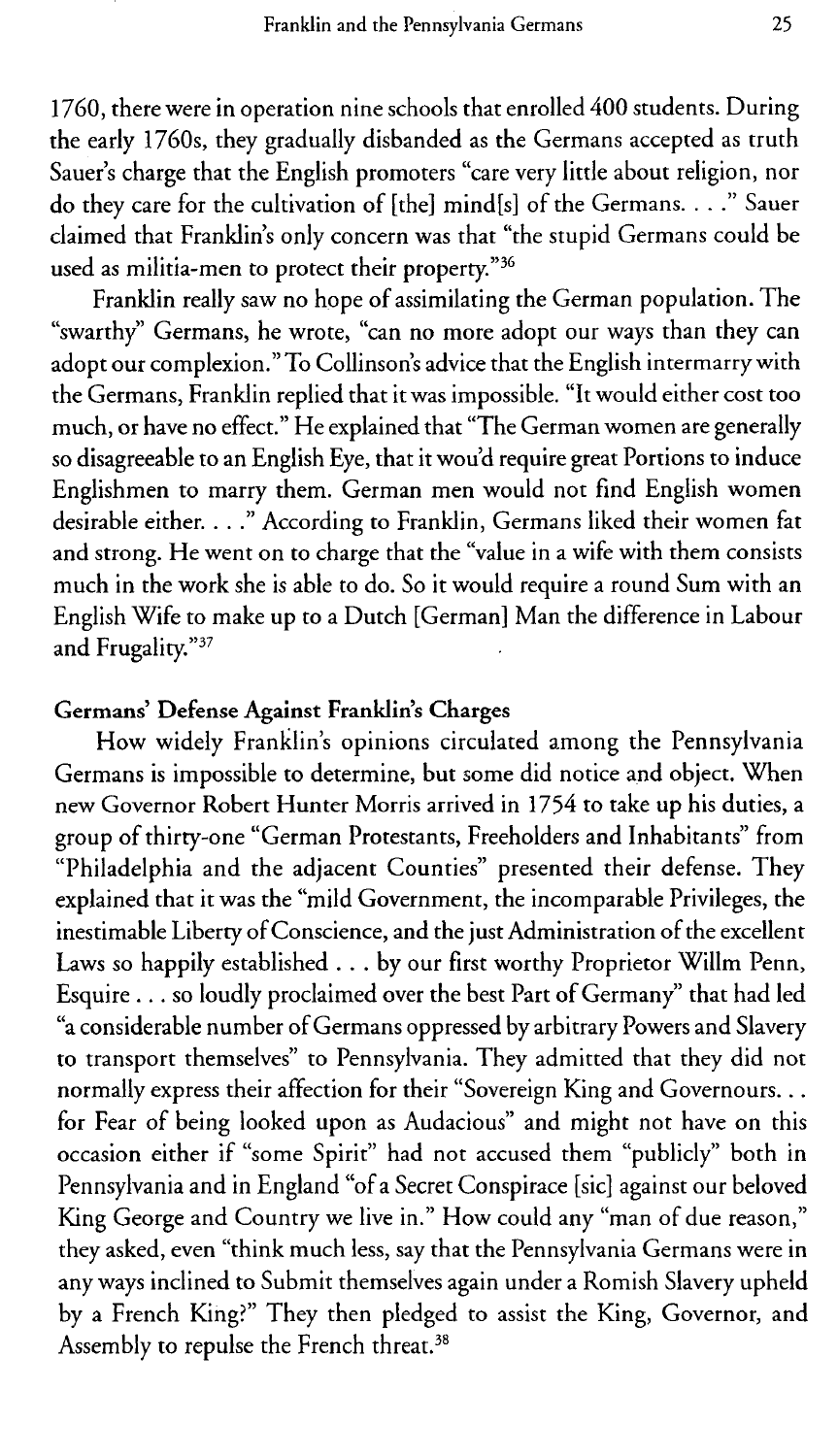1760, there were in operation nine schools that enrolled 400 students. During the early 1760s, they gradually disbanded as the Germans accepted as truth Sauer's charge that the English promoters "care very little about religion, nor do they care for the cultivation of [the] mind[s] of the Germans. . . ." Sauer claimed that Franklin's only concern was that "the stupid Germans could be used as militia-men to protect their property."<sup>36</sup>

Franklin really saw no hope of assimilating the German population. The "swarthy" Germans, he wrote, "can no more adopt our ways than they can adopt our complexion." To Collinson's advice that the English intermarry with the Germans, Franklin replied that it was impossible. "It would either cost too much, or have no effect." He explained that "The German women are generally so disagreeable to an English Eye, that it wou'd require great Portions to induce Englishmen to marry them. German men would not find English women desirable either. . . ." According to Franklin, Germans liked their women fat and strong. He went on to charge that the "value in a wife with them consists much in the work she is able to do. So it would require a round Sum with an English Wife to make up to a Dutch [German] Man the difference in Labour and Frugality."<sup>37</sup>

### **Germans' Defense Against Franklin's Charges**

How widely Franklin's opinions circulated among the Pennsylvania Germans is impossible to determine, but some did notice and object. When new Governor Robert Hunter Morris arrived in 1754 to take up his duties, a group of thirty-one "German Protestants, Freeholders and Inhabitants" from "Philadelphia and the adjacent Counties" presented their defense. They explained that it was the "mild Government, the incomparable Privileges, the inestimable Liberty of Conscience, and the just Administration of the excellent Laws so happily established . .. by our first worthy Proprietor Willm Penn, Esquire ... so loudly proclaimed over the best Part of Germany" that had led "a considerable number of Germans oppressed by arbitrary Powers and Slavery to transport themselves" to Pennsylvania. They admitted that they did not normally express their affection for their "Sovereign King and Governours... for Fear of being looked upon as Audacious" and might not have on this occasion either if "some Spirit" had not accused them "publicly" both in Pennsylvania and in England "of a Secret Conspirace [sic] against our beloved King George and Country we live in." How could any "man of due reason," they asked, even "think much less, say that the Pennsylvania Germans were in any ways inclined to Submit themselves again under a Romish Slavery upheld by a French King?" They then pledged to assist the King, Governor, and Assembly to repulse the French threat.<sup>38</sup>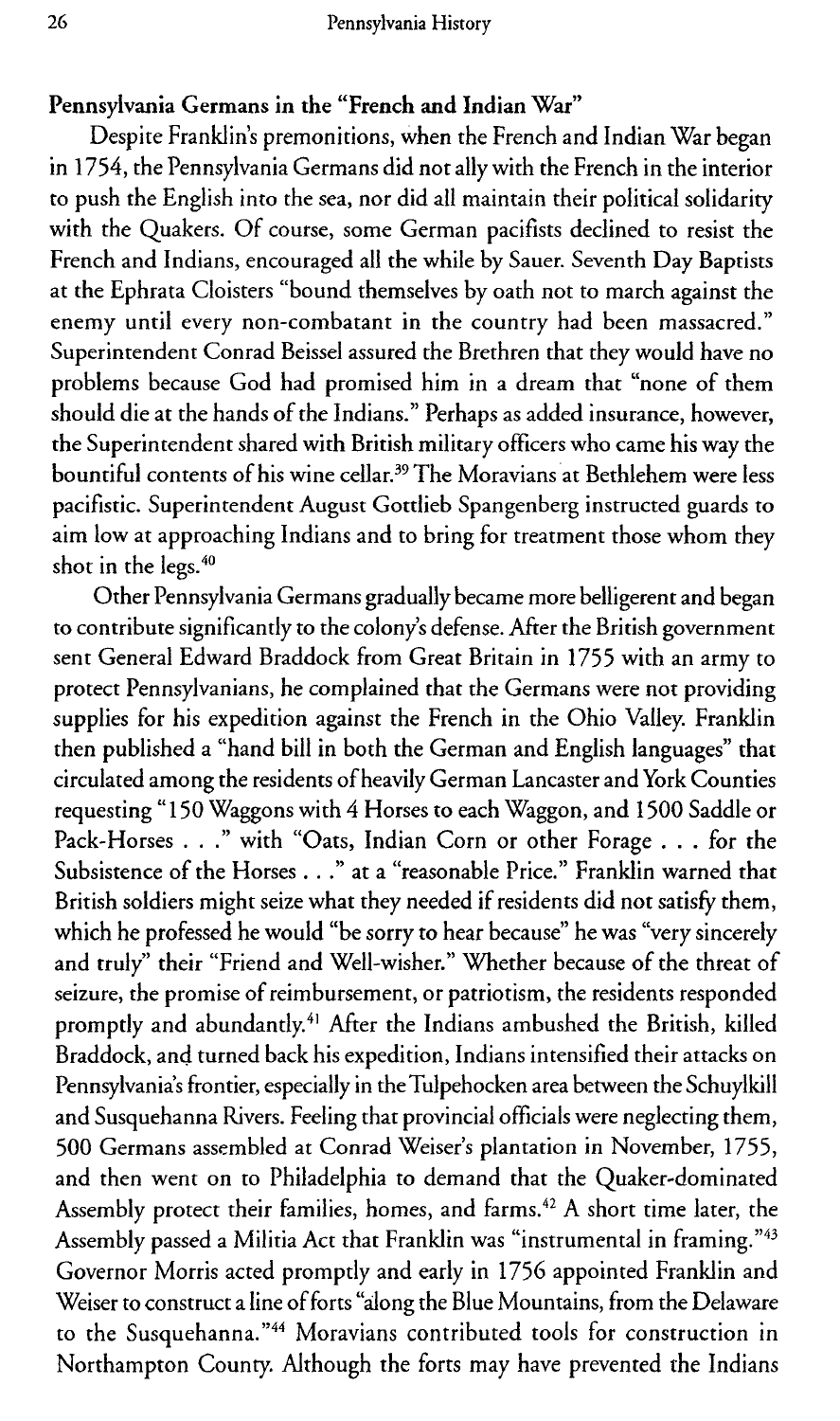#### Pennsylvania Germans in the "French and Indian War"

Despite Franklin's premonitions, when the French and Indian War began in 1754, the Pennsylvania Germans did not ally with the French in the interior to push the English into the sea, nor did all maintain their political solidarity with the Quakers. Of course, some German pacifists declined to resist the French and Indians, encouraged all the while by Sauer. Seventh Day Baptists at the Ephrata Cloisters "bound themselves by oath not to march against the enemy until every non-combatant in the country had been massacred." Superintendent Conrad Beissel assured the Brethren that they would have no problems because God had promised him in a dream that "none of them should die at the hands of the Indians." Perhaps as added insurance, however, the Superintendent shared with British military officers who came his way the bountiful contents of his wine cellar.<sup>39</sup> The Moravians at Bethlehem were less pacifistic. Superintendent August Gottlieb Spangenberg instructed guards to aim low at approaching Indians and to bring for treatment those whom they shot in the legs.<sup>40</sup>

Other Pennsylvania Germans gradually became more belligerent and began to contribute significantly to the colony's defense. After the British government sent General Edward Braddock from Great Britain in 1755 with an army to protect Pennsylvanians, he complained that the Germans were not providing supplies for his expedition against the French in the Ohio Valley. Franklin then published a "hand bill in both the German and English languages" that circulated among the residents of heavily German Lancaster and York Counties requesting " 150 Waggons with 4 Horses to each Waggon, and 1500 Saddle or Pack-Horses . . ." with "Oats, Indian Corn or other Forage . . . for the Subsistence of the Horses . . ." at a "reasonable Price." Franklin warned that British soldiers might seize what they needed if residents did not satisfy them, which he professed he would "be sorry to hear because" he was "very sincerely and truly" their "Friend and Well-wisher." Whether because of the threat of seizure, the promise of reimbursement, or patriotism, the residents responded promptly and abundantly.<sup>41</sup> After the Indians ambushed the British, killed Braddock, and turned back his expedition, Indians intensified their attacks on Pennsylvania's frontier, especially in the Tulpehocken area between the Schuylkill and Susquehanna Rivers. Feeling that provincial officials were neglecting them, 500 Germans assembled at Conrad Weiser's plantation in November, 1755, and then went on to Philadelphia to demand that the Quaker-dominated Assembly protect their families, homes, and farms.<sup>42</sup> A short time later, the Assembly passed a Militia Act that Franklin was "instrumental in framing."<sup>43</sup> Governor Morris acted promptly and early in 1756 appointed Franklin and Weiser to construct a line of forts "along the Blue Mountains, from the Delaware to the Susquehanna."<sup>44</sup> Moravians contributed tools for construction in Northampton County. Although the forts may have prevented the Indians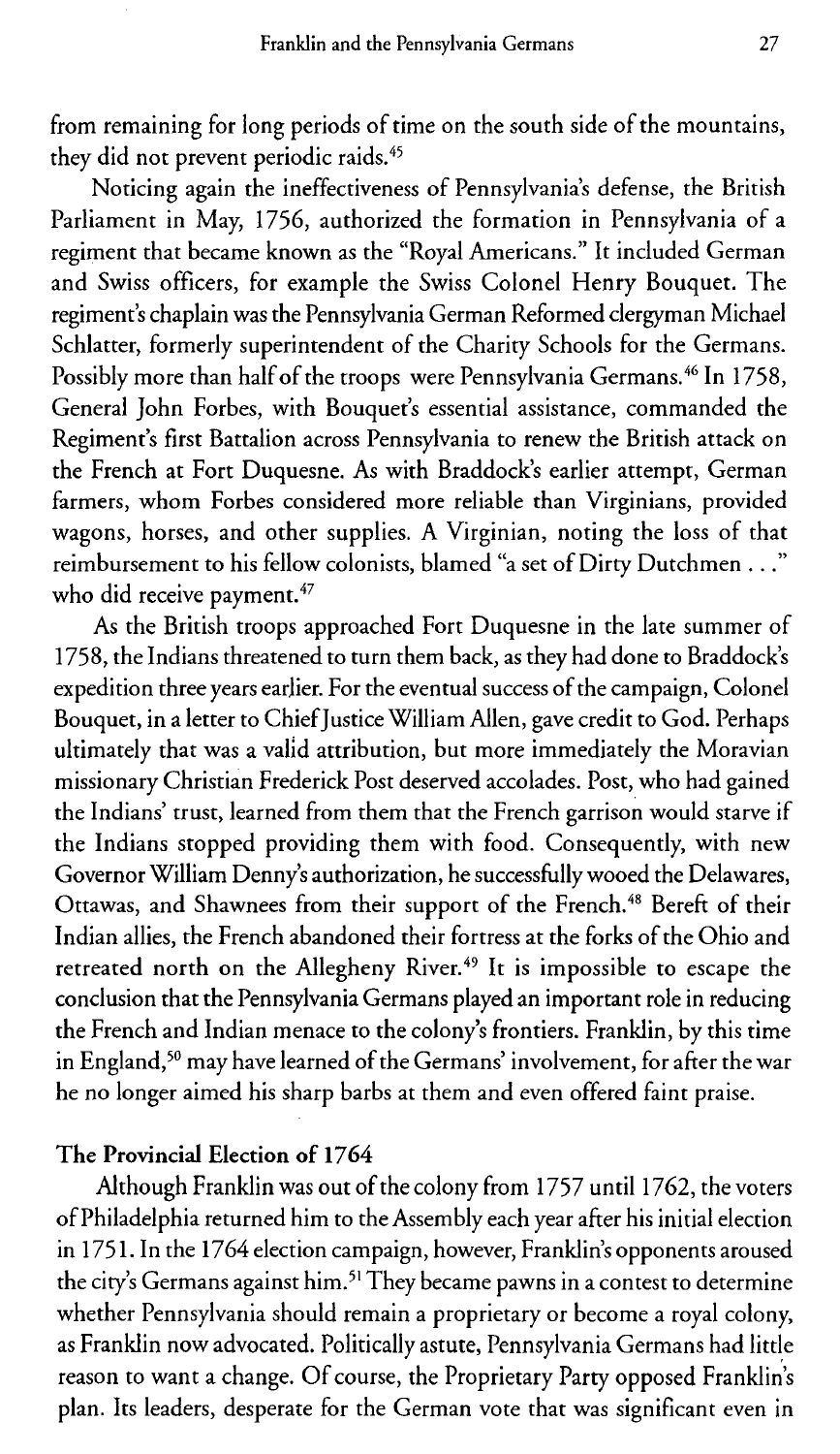from remaining for long periods of time on the south side of the mountains, they did not prevent periodic raids.<sup>45</sup>

Noticing again the ineffectiveness of Pennsylvania's defense, the British Parliament in May, 1756, authorized the formation in Pennsylvania of a regiment that became known as the "Royal Americans." It included German and Swiss officers, for example the Swiss Colonel Henry Bouquet. The regiment's chaplain was the Pennsylvania German Reformed clergyman Michael Schlatter, formerly superintendent of the Charity Schools for the Germans. Possibly more than half of the troops were Pennsylvania Germans.<sup>46</sup> In 1758, General John Forbes, with Bouquet's essential assistance, commanded the Regiment's first Battalion across Pennsylvania to renew the British attack on the French at Fort Duquesne. As with Braddock's earlier attempt, German farmers, whom Forbes considered more reliable than Virginians, provided wagons, horses, and other supplies. A Virginian, noting the loss of that reimbursement to his fellow colonists, blamed "a set of Dirty Dutchmen . . who did receive payment.<sup>47</sup>

As the British troops approached Fort Duquesne in the late summer of 1758, the Indians threatened to turn them back, as they had done to Braddock's expedition three years earlier. For the eventual success of the campaign, Colonel Bouquet, in a letter to Chief Justice William Allen, gave credit to God. Perhaps ultimately that was a valid attribution, but more immediately the Moravian missionary Christian Frederick Post deserved accolades. Post, who had gained the Indians' trust, learned from them that the French garrison would starve if the Indians stopped providing them with food. Consequently, with new Governor William Denny's authorization, he successfully wooed the Delawares, Ottawas, and Shawnees from their support of the French.<sup>48</sup> Bereft of their Indian allies, the French abandoned their fortress at the forks of the Ohio and retreated north on the Allegheny River.<sup>49</sup> It is impossible to escape the conclusion that the Pennsylvania Germans played an important role in reducing the French and Indian menace to the colony's frontiers. Franklin, by this time in England, 50 may have learned of the Germans' involvement, for after the war he no longer aimed his sharp barbs at them and even offered faint praise.

### The **Provincial Election of** 1764

Although Franklin was out of the colony from 1757 until 1762, the voters of Philadelphia returned him to the Assembly each year after his initial election in 1751. In the 1764 election campaign, however, Franklin's opponents aroused the city's Germans against him.<sup>51</sup> They became pawns in a contest to determine whether Pennsylvania should remain a proprietary or become a royal colony, as Franklin now advocated. Politically astute, Pennsylvania Germans had little reason to want a change. Of course, the Proprietary Party opposed Franklin's plan. Its leaders, desperate for the German vote that was significant even in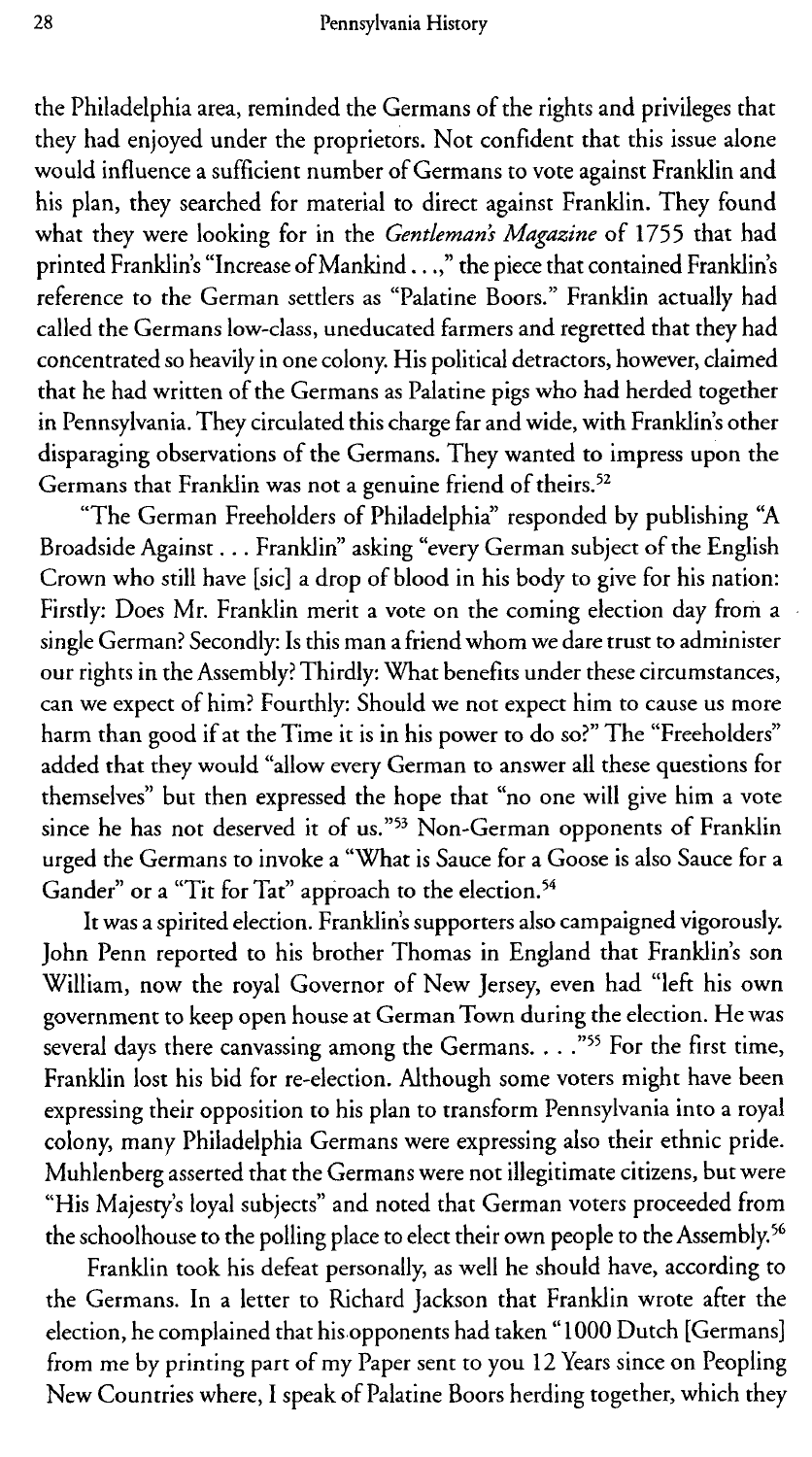the Philadelphia area, reminded the Germans of the rights and privileges that they had enjoyed under the proprietors. Not confident that this issue alone would influence a sufficient number of Germans to vote against Franklin and his plan, they searched for material to direct against Franklin. They found what they were looking for in the *Gentleman's Magazine* of 1755 that had printed Franklin's "Increase of Mankind.. .," the piece that contained Franklin's reference to the German settlers as "Palatine Boors." Franklin actually had called the Germans low-class, uneducated farmers and regretted that they had concentrated so heavily in one colony. His political detractors, however, claimed that he had written of the Germans as Palatine pigs who had herded together in Pennsylvania. They circulated this charge far and wide, with Franklin's other disparaging observations of the Germans. They wanted to impress upon the Germans that Franklin was not a genuine friend of theirs.<sup>52</sup>

"The German Freeholders of Philadelphia" responded by publishing "A Broadside Against ... Franklin" asking "every German subject of the English Crown who still have [sic] a drop of blood in his body to give for his nation: Firstly: Does Mr. Franklin merit a vote on the coming election day from a single German? Secondly: Is this man a friend whom we dare trust to administer our rights in the Assembly? Thirdly: What benefits under these circumstances, can we expect of him? Fourthly: Should we not expect him to cause us more harm than good if at the Time it is in his power to do so?" The "Freeholders" added that they would "allow every German to answer all these questions for themselves" but then expressed the hope that "no one will give him a vote since he has not deserved it of us."<sup>53</sup> Non-German opponents of Franklin urged the Germans to invoke a "What is Sauce for a Goose is also Sauce for a Gander" or a "Tit for Tat" approach to the election.<sup>54</sup>

It was a spirited election. Franklin's supporters also campaigned vigorously. John Penn reported to his brother Thomas in England that Franklin's son William, now the royal Governor of New Jersey, even had "left his own government to keep open house at German Town during the election. He was several days there canvassing among the Germans. . . ."55 For the first time, Franklin lost his bid for re-election. Although some voters might have been expressing their opposition to his plan to transform Pennsylvania into a royal colony, many Philadelphia Germans were expressing also their ethnic pride. Muhlenberg asserted that the Germans were not illegitimate citizens, but were "His Majesty's loyal subjects" and noted that German voters proceeded from the schoolhouse to the polling place to elect their own people to the Assembly.<sup>56</sup>

Franklin took his defeat personally, as well he should have, according to the Germans. In a letter to Richard Jackson that Franklin wrote after the election, he complained that his-opponents had taken "1000 Dutch [Germans] from me by printing part of my Paper sent to you 12 Years since on Peopling New Countries where, I speak of Palatine Boors herding together, which they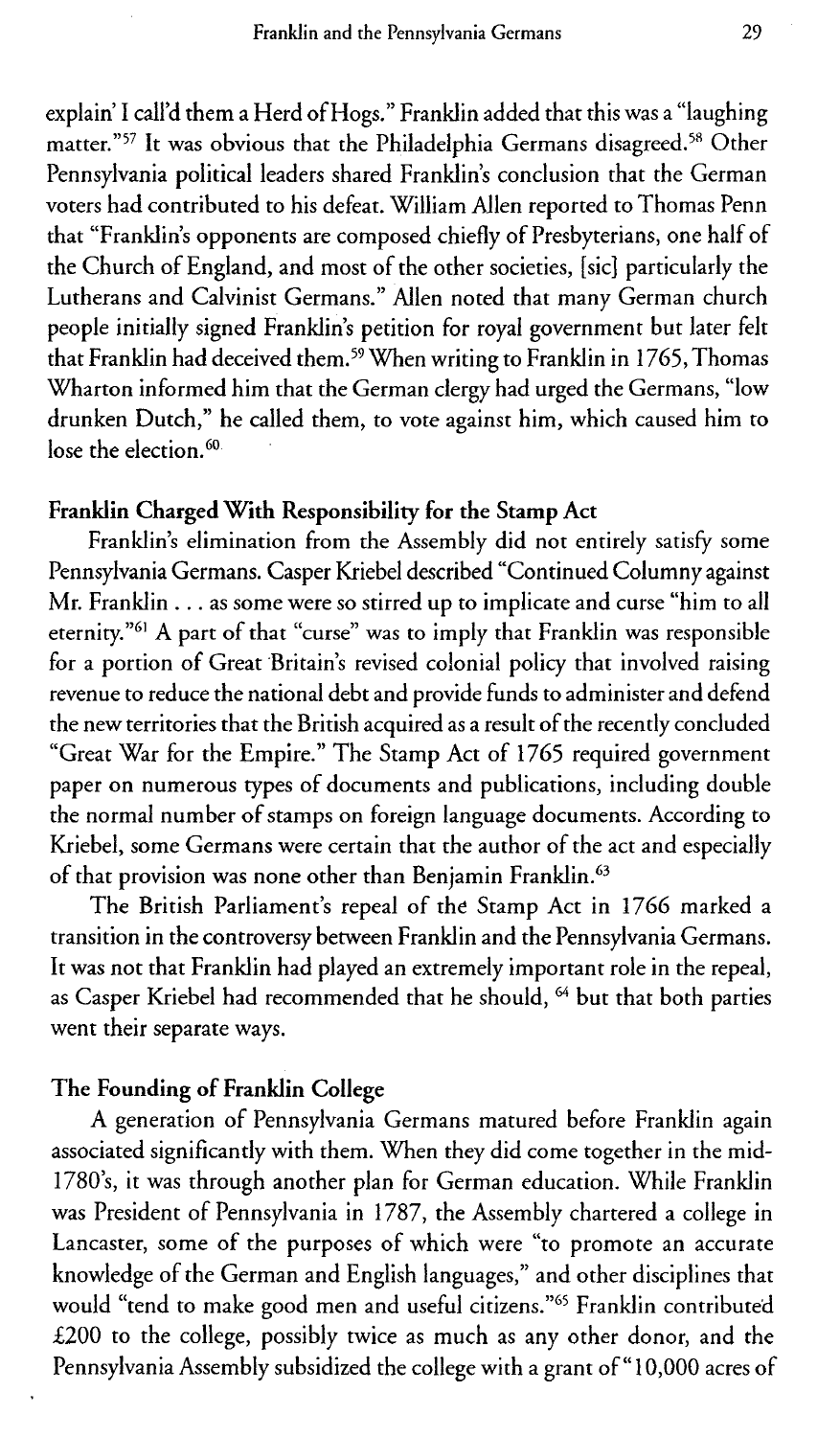explain' I call'd them a Herd of Hogs." Franklin added that this was a "laughing matter."<sup>57</sup> It was obvious that the Philadelphia Germans disagreed.<sup>58</sup> Other Pennsylvania political leaders shared Franklin's conclusion that the German voters had contributed to his defeat. William Allen reported to Thomas Penn that "Franklin's opponents are composed chiefly of Presbyterians, one half of the Church of England, and most of the other societies, [sic] particularly the Lutherans and Calvinist Germans." Allen noted that many German church people initially signed Franklin's petition for royal government but later felt that Franklin had deceived them.<sup>59</sup> When writing to Franklin in 1765, Thomas Wharton informed him that the German clergy had urged the Germans, "low drunken Dutch," he called them, to vote against him, which caused him to lose the election. $60$ 

### **Franklin Charged With Responsibility for the Stamp Act**

Franklin's elimination from the Assembly did not entirely satisfy some Pennsylvania Germans. Casper Kriebel described "Continued Columny against Mr. Franklin . . . as some were so stirred up to implicate and curse "him to all eternity."<sup>61</sup> A part of that "curse" was to imply that Franklin was responsible for a portion of Great Britain's revised colonial policy that involved raising revenue to reduce the national debt and provide funds to administer and defend the new territories that the British acquired as a result of the recently concluded "Great War for the Empire." The Stamp Act of 1765 required government paper on numerous types of documents and publications, including double the normal number of stamps on foreign language documents. According to Kriebel, some Germans were certain that the author of the act and especially of that provision was none other than Benjamin Franklin.<sup>63</sup>

The British Parliament's repeal of the Stamp Act in 1766 marked a transition in the controversy between Franklin and the Pennsylvania Germans. It was not that Franklin had played an extremely important role in the repeal, as Casper Kriebel had recommended that he should, <sup>64</sup> but that both parties went their separate ways.

#### **The Founding of Franklin College**

A generation of Pennsylvania Germans matured before Franklin again associated significantly with them. When they did come together in the mid-1780's, it was through another plan for German education. While Franklin was President of Pennsylvania in 1787, the Assembly chartered a college in Lancaster, some of the purposes of which were "to promote an accurate knowledge of the German and English languages," and other disciplines that would "tend to make good men and useful citizens."<sup>65</sup> Franklin contributed £200 to the college, possibly twice as much as any other donor, and the Pennsylvania Assembly subsidized the college with a grant of " 10,000 acres of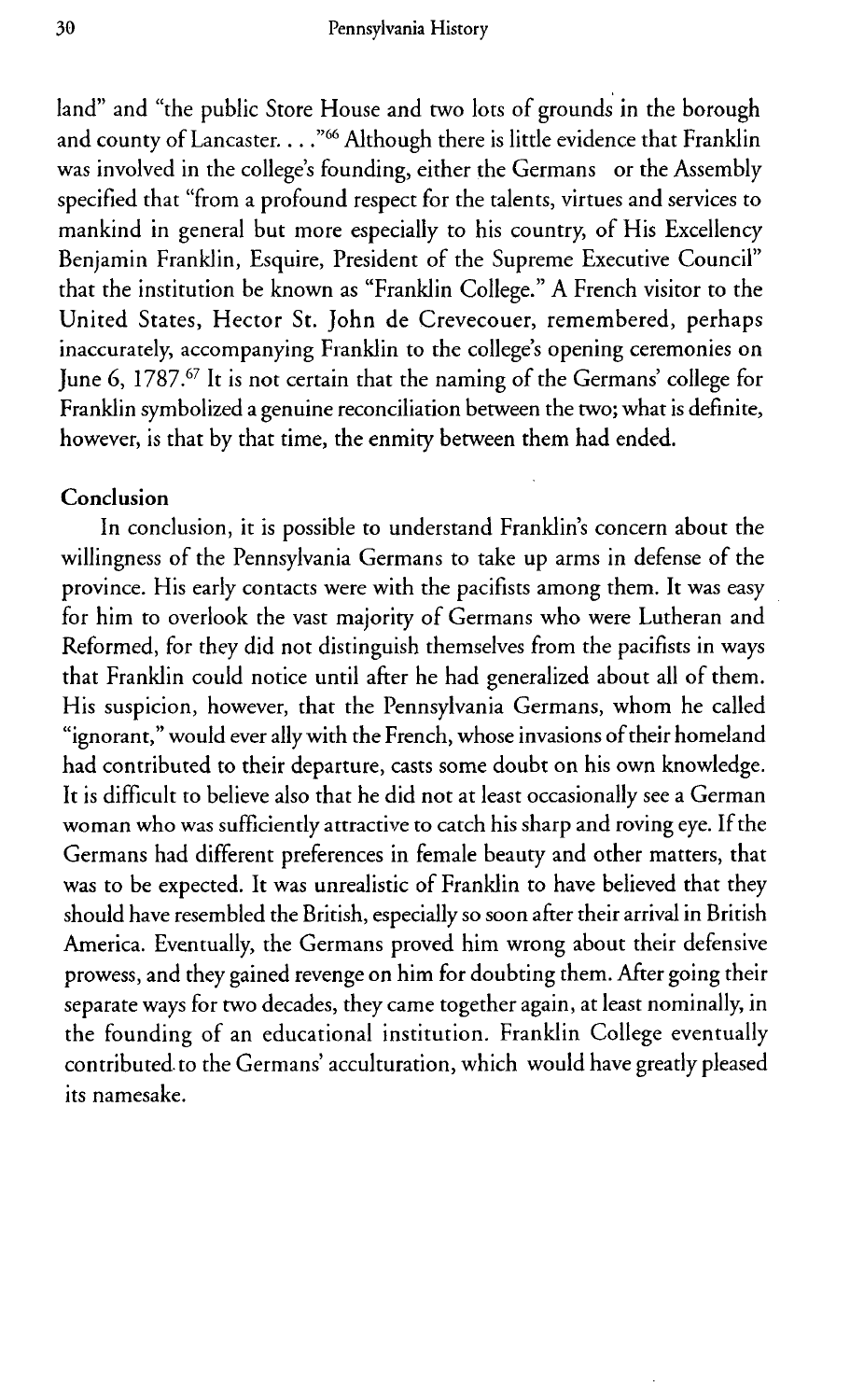land" and "the public Store House and two lots of grounds in the borough and county of Lancaster.  $\ldots$  "<sup>66</sup> Although there is little evidence that Franklin was involved in the college's founding, either the Germans or the Assembly specified that "from a profound respect for the talents, virtues and services to mankind in general but more especially to his country, of His Excellency Benjamin Franklin, Esquire, President of the Supreme Executive Council" that the institution be known as "Franklin College." A French visitor to the United States, Hector St. John de Crevecouer, remembered, perhaps inaccurately, accompanying Franklin to the college's opening ceremonies on June 6, 1787.<sup>67</sup> It is not certain that the naming of the Germans' college for Franklin symbolized a genuine reconciliation between the two; what is definite, however, is that by that time, the enmity between them had ended.

#### **Conclusion**

In conclusion, it is possible to understand Franklin's concern about the willingness of the Pennsylvania Germans to take up arms in defense of the province. His early contacts were with the pacifists among them. It was easy for him to overlook the vast majority of Germans who were Lutheran and Reformed, for they did not distinguish themselves from the pacifists in ways that Franklin could notice until after he had generalized about all of them. His suspicion, however, that the Pennsylvania Germans, whom he called "ignorant," would ever ally with the French, whose invasions of their homeland had contributed to their departure, casts some doubt on his own knowledge. It is difficult to believe also that he did not at least occasionally see a German woman who was sufficiently attractive to catch his sharp and roving eye. If the Germans had different preferences in female beauty and other matters, that was to be expected. It was unrealistic of Franklin to have believed that they should have resembled the British, especially so soon after their arrival in British America. Eventually, the Germans proved him wrong about their defensive prowess, and they gained revenge on him for doubting them. After going their separate ways for two decades, they came together again, at least nominally, in the founding of an educational institution. Franklin College eventually contributed. to the Germans' acculturation, which would have greatly pleased its namesake.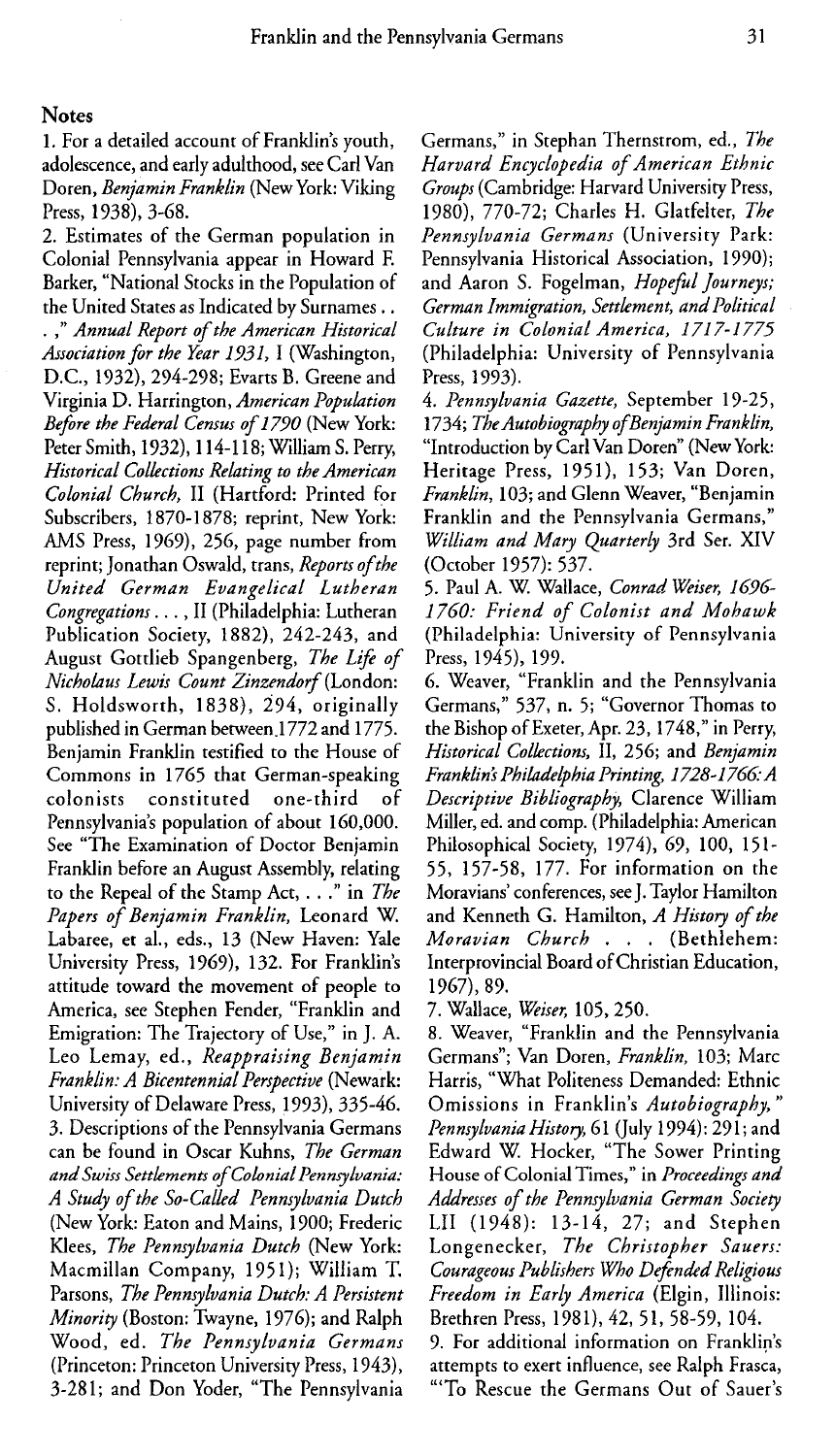#### **Notes**

1. For a detailed account of Franklin's youth, adolescence, and early adulthood, see Carl Van Doren, *Benjamin Franklin* (New York: Viking Press, 1938), 3-68.

2. Estimates of the German population in Colonial Pennsylvania appear in Howard E Barker, "National Stocks in the Population of the United States as Indicated by Surnames .. *. " Annual Report of the American Historical Association for the Year 1931,* I (Washington, D.C., 1932), 294-298; Evarts B. Greene and Virginia D. Harrington, *American Population Before the Federal Census of 1790* (New York: Peter Smith, 1932), 114-118; William S. Perry, *Historical Collections Relating to the American Colonial Church,* II (Hartford: Printed for Subscribers, 1870-1878; reprint, New York: AMS Press, 1969), 256, page number from reprint; Jonathan Oswald, trans, *Reports of the United German Evangelical Lutheran Congregations. ..,* II (Philadelphia: Lutheran Publication Society, 1882), 242-243, and August Gottlieb Spangenberg, *The Life of Nicholaus Lewis Count Zinzendorf* (London: S. Holdsworth, 1838), 294, originally published in German between 1772 and 1775. Benjamin Franklin testified to the House of Commons in 1765 that German-speaking colonists constituted one-third of Pennsylvania's population of about 160,000. See "The Examination of Doctor Benjamin Franklin before an August Assembly, relating to the Repeal of the Stamp Act, ... .' in *The Papers of Benjamin Franklin,* Leonard W. Labaree, et al., eds., 13 (New Haven: Yale University Press, 1969), 132. For Franklin's attitude toward the movement of people to America, see Stephen Fender, "Franklin and Emigration: The Trajectory of Use," in J. A. Leo Lemay, ed., *Reappraising Benjamin Franklin: A Bicentennial Perspective* (Newark: University of Delaware Press, 1993), 335-46. 3. Descriptions of the Pennsylvania Germans can be found in Oscar Kuhns, *The German and Swiss Settlements of Colonial Pennsylvania: A Study of the So-Called Pennsylvania Dutch* (New York: Eaton and Mains, 1900; Frederic Klees, *The Pennsylvania Dutch* (New York: Macmillan Company, 1951); William T. Parsons, *The Pennsylvania Dutch: A Persistent Minority* (Boston: Twayne, 1976); and Ralph Wood, ed. *The Pennsylvania Germans* (Princeton: Princeton University Press, 1943), 3-281; and Don Yoder, "The Pennsylvania

Germans," in Stephan Thernstrom, ed., *The Harvard Encyclopedia of American Ethnic Groups* (Cambridge: Harvard University Press, 1980), 770-72; Charles H. Glatfelter, *The Pennsylvania Germans* (University Park: Pennsylvania Historical Association, 1990); and Aaron S. Fogelman, *Hopeful journeys; German Immigration, Settlement, and Political Culture in Colonial America, 1717-1775* (Philadelphia: University of Pennsylvania Press, 1993).

4. *Pennsylvania Gazette,* September 19-25, 1734; *TheAutobiography ofBenjamin Franklin,* "Introduction by Carl Van Doren" (New York: Heritage Press, 1951), 153; Van Doren, *Franklin,* 103; and Glenn Weaver, "Benjamin Franklin and the Pennsylvania Germans," *William and Mary Quarterly* 3rd Ser. XIV (October 1957): 537.

5. Paul A. W Wallace, *Conrad Weiser, 1696- 1760: Friend of Colonist and Mohawk* (Philadelphia: University of Pennsylvania Press, 1945), 199.

6. Weaver, "Franklin and the Pennsylvania Germans," 537, n. 5; "Governor Thomas to the Bishop of Exeter, Apr. 23, 1748," in Perry, *Historical Collections,* II, 256; and *Benjamin Franklins Philadelphia Printing, 1728-1766&A Descriptive Bibliography,* Clarence William Miller, ed. and comp. (Philadelphia: American Philosophical Society, 1974), 69, 100, 151- 55, 157-58, 177. For information on the Moravians' conferences, see J. Taylor Hamilton and Kenneth G. Hamilton, *A History of the Moravian Church* . . . (Bethlehem: Interprovincial Board of Christian Education, 1967), 89.

7. Wallace, *Weiser,* 105, 250.

8. Weaver, "Franklin and the Pennsylvania Germans"; Van Doren, *Franklin,* 103; Marc Harris, "What Politeness Demanded: Ethnic Omissions in Franklin's *Autobiography," Pennsylvania History,* 61 (July 1994): 29 1; and Edward W. Hocker, "The Sower Printing House of Colonial Times," in *Proceedings and Addresses of the Pennsylvania German Society* LII (1948): 13-14, 27; and Stephen Longenecker, *The Christopher Sauers: Courageous Publishers Who Defended Religious Freedom in Early America* (Elgin, Illinois: Brethren Press, 1981), 42, 51, 58-59, 104.

9. For additional information on Franklin's attempts to exert influence, see Ralph Frasca, "'To Rescue the Germans Out of Sauer's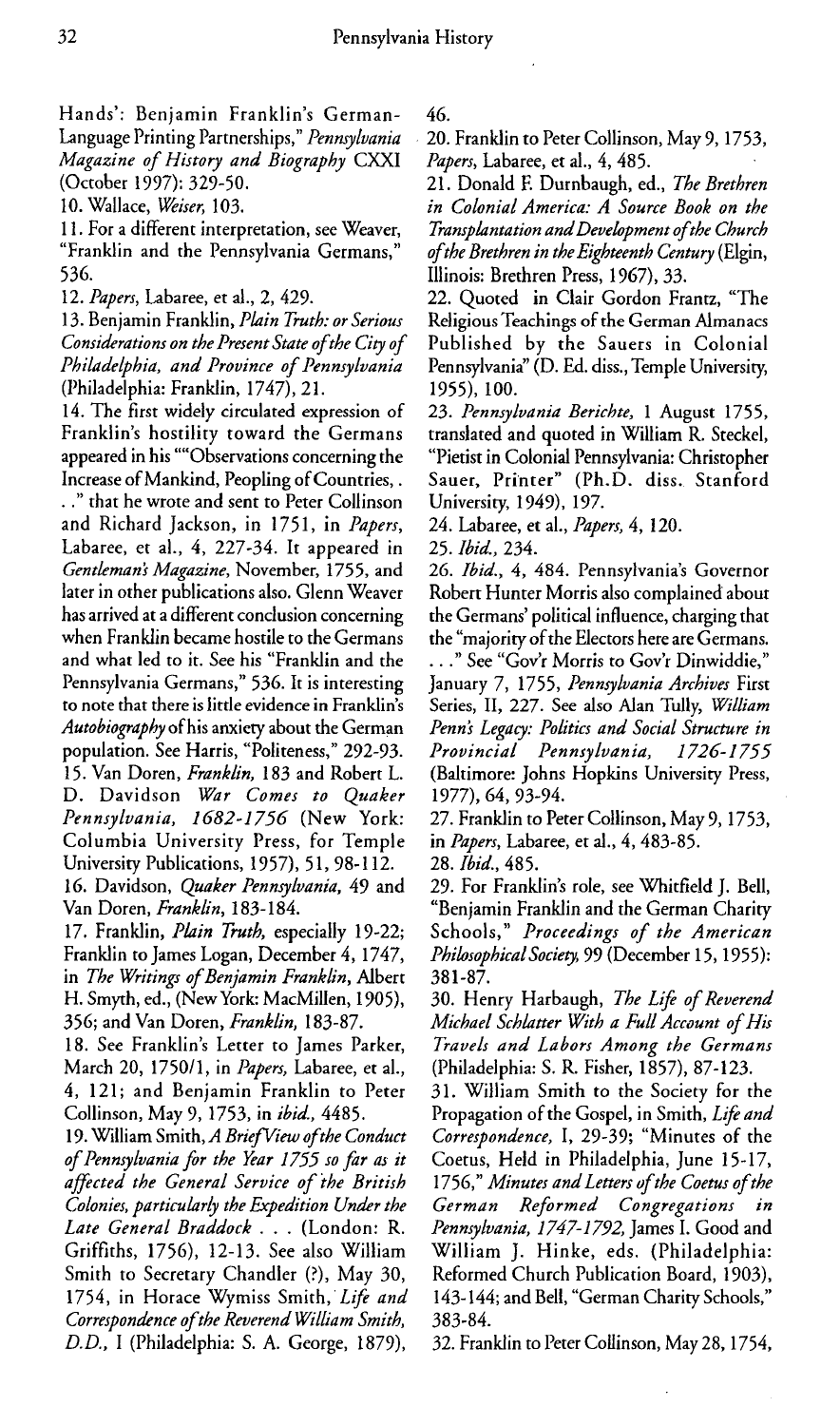Hands': Benjamin Franklin's German-Language Printing Partnerships," *Pennsylvania Magazine of History and Biography* CXXI (October 1997): 329-50.

10. Wallace, *Weiser,* 103.

11. For a different interpretation, see Weaver, "Franklin and the Pennsylvania Germans," 536.

12. *Papers,* Labaree, et al., 2, 429.

13. Benjamin Franklin, *Plain Truth: or Serious Considerations on the Present State ofthe City of Philadelphia, and Province of Pennsylvania* (Philadelphia: Franklin, 1747), 21.

14. The first widely circulated expression of Franklin's hostility toward the Germans appeared in his ""Observations concerning the Increase of Mankind, Peopling of Countries,.

. ." that he wrote and sent to Peter Collinson and Richard Jackson, in 1751, in *Papers,* Labaree, et al., 4, 227-34. It appeared in *Gentlemans Magazine,* November, 1755, and later in other publications also. Glenn Weaver has arrived at a different conclusion concerning when Franklin became hostile to the Germans and what led to it. See his "Franklin and the Pennsylvania Germans," 536. It is interesting to note that there is little evidence in Franklin's *Autobiography* of his anxiety about the German population. See Harris, "Politeness," 292-93. 15. Van Doren, *Franklin,* 183 and Robert L. D. Davidson *War Comes to Quaker Pennsylvania, 1682-1756* (New York: Columbia University Press, for Temple University Publications, 1957), 51, 98-112.

16. Davidson, *Quaker Pennsylvania,* 49 and Van Doren, *Franklin,* 183-184.

17. Franklin, *Plain Truth,* especially 19-22; Franklin to James Logan, December 4, 1747, in *The Writings of Benjamin Franklin,* Albert H. Smyth, ed., (New York: MacMillen, 1905), 356; and Van Doren, *Franklin,* 183-87.

18. See Franklin's Letter to James Parker, March 20, 1750/1, in *Papers,* Labaree, et al., 4, 121; and Benjamin Franklin to Peter Collinson, May 9, 1753, in *ibid.,* 4485.

19. William Smith, *A Brief View ofthe Conduct of Pennsylvania for the Year 1755 so far as it affected the General Service of Mhe British Colonies, particularly the Expedition Under the Late General Braddock* . . . (London: R. Griffiths, 1756), 12-13. See also William Smith to Secretary Chandler (?), May 30, 1754, in Horace Wymiss Smith, *Life and Correspondence of the Reverend William Smith, D.D.,* I (Philadelphia: S. A. George, 1879),

46.

20. Franklin to Peter Collinson, May 9, 1753, *Papers,* Labaree, et al., 4, 485.

21. Donald E Durnbaugh, ed., *The Brethren in Colonial America: A Source Book on the Transplantation and Development ofthe Church ofthe Brethren in the Eighteenth Century* (Elgin, Illinois: Brethren Press, 1967), 33.

22. Quoted in Clair Gordon Frantz, "The Religious Teachings of the German Almanacs Published by the Sauers in Colonial Pennsylvania" (D. Ed. diss., Temple University, 1955), 100.

23. *Pennsylvania Berichte, 1* August 1755, translated and quoted in William R. Steckel, "Pietist in Colonial Pennsylvania: Christopher Sauer, Printer" (Ph.D. diss. Stanford University, 1949), 197.

24. Labaree, et al., *Papers,* 4, 120.

25. *Ibid.,* 234.

*26. Ibid.,* 4, 484. Pennsylvania's Governor Robert Hunter Morris also complained about the Germans' political influence, charging that the "majority of the Electors here are Germans. . . ." See "Gov'r Morris to Gov'r Dinwiddie," January 7, 1755, *Pennsylvania Archives* First Series, II, 227. See also Alan Tully, *William Penns Legacy: Politics and Social Structure in Provincial Pennsylvania, 1726-1755* (Baltimore: Johns Hopkins University Press, 1977), 64, 93-94.

27. Franklin to Peter Collinson, May 9, 1753, in *Papers,* Labaree, et al., 4, 483-85.

28. *Ibid.,* 485.

29. For Franklin's role, see Whitfield J. Bell, "Benjamin Franklin and the German Charity Schools," *Proceedings of the American PhilosophicalSociety,* 99 (December 15,1955): 381-87.

30. Henry Harbaugh, *The Life of Reverend Michael Schlatter With a Full Account of His Travels and Labors Among the Germans* (Philadelphia: S. R. Fisher, 1857), 87-123.

31. William Smith to the Society for the Propagation of the Gospel, in Smith, *Life and Correspondence, 1,* 29-39; "Minutes of the Coetus, Held in Philadelphia, June 15-17, 1756," *Minutes and Letters of the Coetus of the German Reformed Congregations in Pennsylvania, 1747-1792,* James I. Good and William J. Hinke, eds. (Philadelphia: Reformed Church Publication Board, 1903), 143-144; and Bell, "German Charity Schools," 383-84.

32. Franklin to Peter Collinson, May 28, 1754,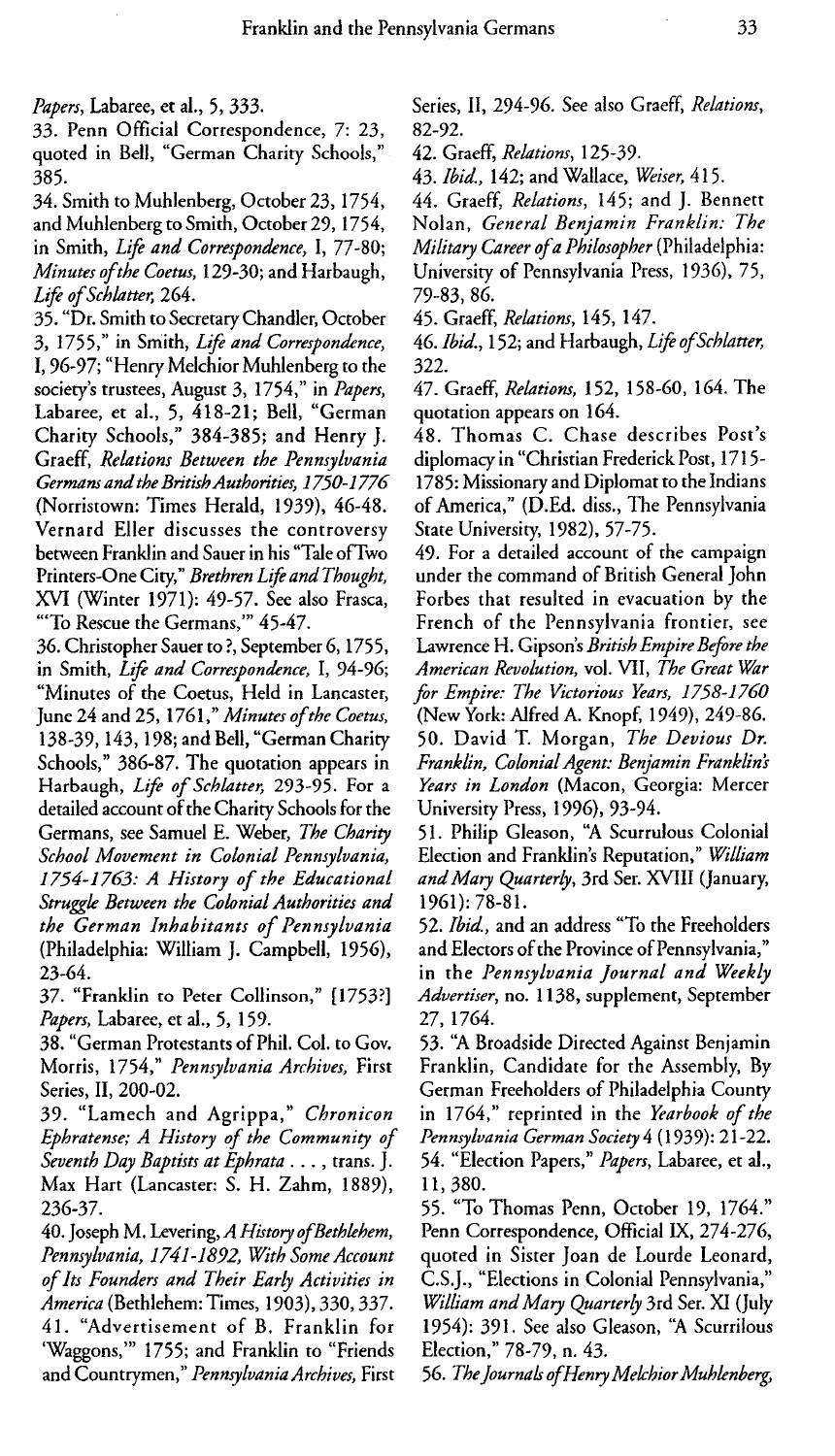*Papers,* Labaree, et al., 5, 333.

33. Penn Official Correspondence, 7: 23, quoted in Bell, "German Charity Schools," 385.

34. Smith to Muhlenberg, October 23, 1754, and Muhlenberg to Smith, October 29,1754, in Smith, *Life and Correspondence, 1,* 77-80; *Minutes ofthe Coetus,* 129-30; and Harbaugh, *Life ofSchlatter,* 264.

35. "Dr. Smith to Secretary Chandler, October 3, 1755," in Smith, *Life and Correspondence,* I, 96-97; "Henry Melchior Muhlenberg to the society's trustees, August 3, 1754," in *Papers,* Labaree, et al., 5, 418-21; Bell, "German Charity Schools," 384-385; and Henry J. Graeff, *Relations Between the Pennsylvania GermansandtheBritishAuthorities, 1750-1776* (Norristown: Times Herald, 1939), 46-48. Vernard Eller discusses the controversy between Franklin and Sauer in his "Tale ofTwo Printers-One City," *Brethren Life and Thought*, XVI (Winter 1971): 49-57. See also Frasca, "'To Rescue the Germans,"' 45-47.

36. Christopher Sauer to?, September 6,1755, in Smith, *Life and Correspondence, I,* 94-96; "Minutes of the Coetus, Held in Lancaster, June 24 and 25, 1761," *Minutes of the Coetus,* 138-39, 143, 198; and Bell, "German Charity Schools," 386-87. The quotation appears in Harbaugh, *Life of Schlatter,* 293-95. For a detailed account of the Charity Schools for the Germans, see Samuel E. Weber, *The Charity School Movement in Colonial Pennsylvania, 1754-1763: A History of the Educational Struggle Between the Colonial Authorities and the German Inhabitants of Pennsylvania* (Philadelphia: William J. Campbell, 1956), 23-64.

37. "Franklin to Peter Collinson," [1753?] *Papers,* Labaree, et al., 5, 159.

38. "German Protestants of Phil. Col. to Gov. Morris, 1754," *Pennsylvania Archives,* First Series, II, 200-02.

39. "Lamech and Agrippa," *Chronicon Ephratense; A History of the Community of Seventh Day Baptists at Ephrata .. .,* trans. J. Max Hart (Lancaster: S. H. Zahm, 1889), 236-37.

40. Joseph M. Levering, *A History ofBethlehem, Pennsylvania, 1741-1892, With Some Account of Its Founders and Their Early Activities in America* (Bethlehem: Times, 1903), 330,337. 41. "Advertisement of B. Franklin for 'Waggons," 1755; and Franklin to "Friends and Countrymen," *Pennsylvania Archives,* First Series, II, 294-96. See also Graeff, *Relations,* 82-92.

42. Graeff, *Relations,* 125-39.

43. *Ibid.,* 142; and Wallace, *Weiser,* 415.

44. Graeff, *Relations,* 145; and J. Bennett Nolan, *General Benjamin Franklin: The Military Career ofa Philosopher* (Philadelphia: University of Pennsylvania Press, 1936), 75, 79-83, 86.

45. Graeff, *Relations,* 145, 147.

46. *Ibid.,* 152; and Harbaugh, *Life ofSchlatter,* 322.

47. Graeff, *Relations,* 152, 158-60, 164. The quotation appears on 164.

48. Thomas C. Chase describes Post's diplomacy in "Christian Frederick Post, 1715- 1785: Missionary and Diplomat to the Indians of America," (D.Ed. diss., The Pennsylvania State University, 1982), 57-75.

49. For a detailed account of the campaign under the command of British General John Forbes that resulted in evacuation by the French of the Pennsylvania frontier, see Lawrence H. Gipson's *British Empire Before the American Revolution, vol. VII, The Great War for Empire: The Victorious Years, 1758-1760* (New York: Alfred A. Knopf, 1949), 249-86.

50. David T. Morgan, *The Devious Dr. Franklin, Colonial Agent: Benjamin Franklins Years in London* (Macon, Georgia: Mercer University Press, 1996), 93-94.

51. Philip Gleason, "A Scurrulous Colonial Election and Franklin's Reputation," *William and Mary Quarterly,* 3rd Set. XVIII (January, 1961): 78-81.

52. *Ibid,* and an address "To the Freeholders and Electors of the Province of Pennsylvania," in the *Pennsylvania Journal and Weekly Advertiser,* no. 1138, supplement, September 27, 1764.

53. "A Broadside Directed Against Benjamin Franklin, Candidate for the Assembly, By German Freeholders of Philadelphia County in 1764," reprinted in the *Yearbook of the Pennsylvania German Society* 4 (1939): 21-22. 54. "Election Papers," *Papers,* Labaree, et al., 11,380.

55. "To Thomas Penn, October 19, 1764." Penn Correspondence, Official IX, 274-276, quoted in Sister Joan de Lourde Leonard, C.S.J., "Elections in Colonial Pennsylvania," *William and Mary Quarterly* 3rd Ser. XI (July 1954): 391. See also Gleason, "A Scurrilous Election," 78-79, n. 43.

56. *TheJournals ofHenryMelchiorMuhlenberg,*